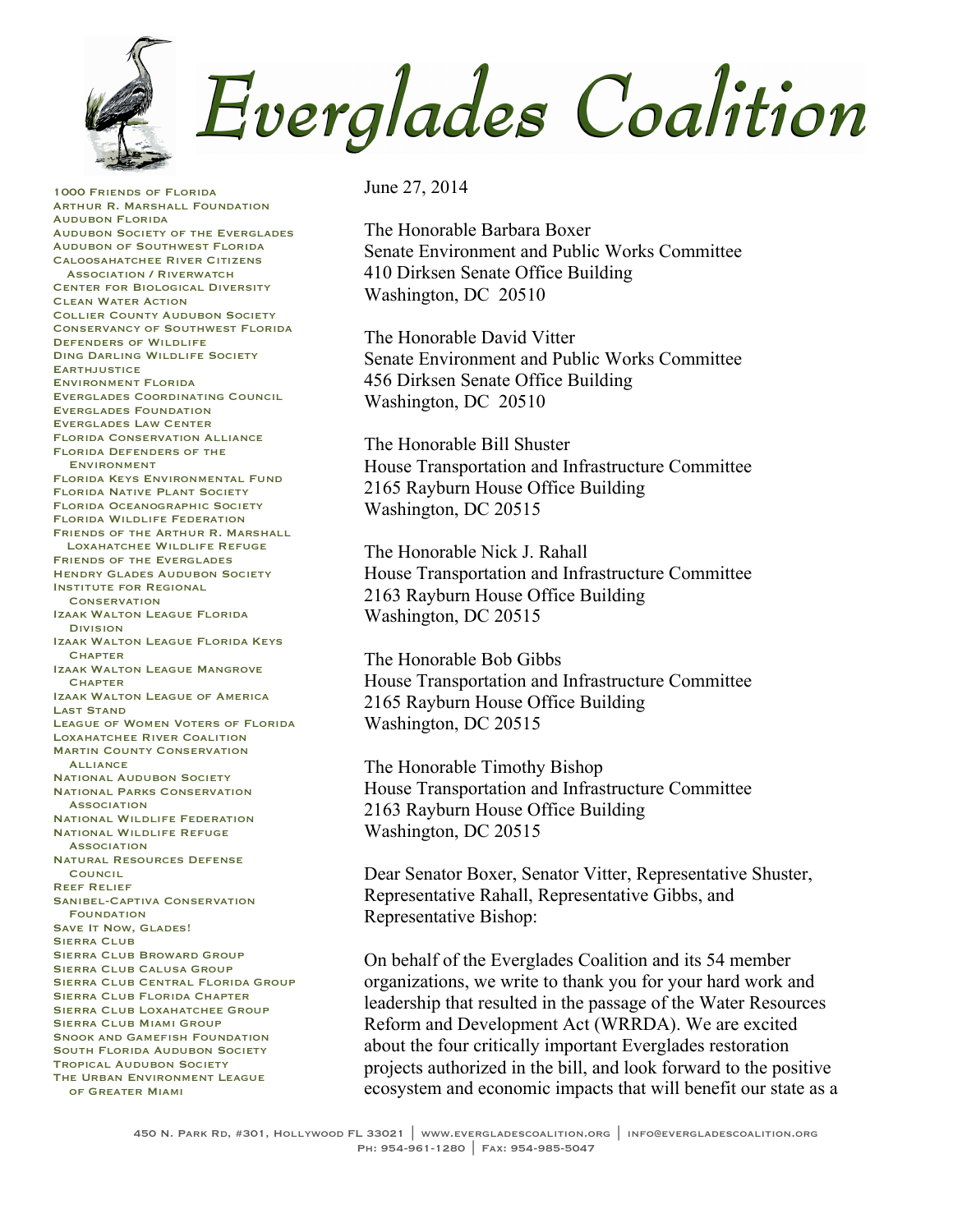Everglades Coalition

1000 Friends of Florida Arthur R. Marshall Foundation Audubon Florida Audubon Society of the Everglades Audubon of Southwest Florida Caloosahatchee River Citizens **Association / RIVERWATCH** Center for Biological Diversity Clean Water Action Collier County Audubon Society Conservancy of Southwest Florida Defenders of Wildlife Ding Darling Wildlife Society **EARTHJUSTICE** Environment Florida Everglades Coordinating Council Everglades Foundation Everglades Law Center Florida Conservation Alliance Florida Defenders of the Environment Florida Keys Environmental Fund Florida Native Plant Society Florida Oceanographic Society Florida Wildlife Federation Friends of the Arthur R. Marshall Loxahatchee Wildlife Refuge Friends of the Everglades **HENDRY GLADES AUDUBON SOCIETY** Institute for Regional **CONSERVATION** Izaak Walton League Florida Division Izaak Walton League Florida Keys **CHAPTER** Izaak Walton League Mangrove **CHAPTER** Izaak Walton League of America Last Stand League of Women Voters of Florida Loxahatchee River Coalition **MARTIN COUNTY CONSERVATION**  Alliance **NATIONAL AUDUBON SOCIETY** National Parks Conservation **ASSOCIATION** National Wildlife Federation National Wildlife Refuge **ASSOCIATION** Natural Resources Defense **COUNCIL** Reef Relief Sanibel-Captiva Conservation **FOUNDATION** SAVE IT NOW, GLADES! **SIERRA CLUB** Sierra Club Broward Group Sierra Club Calusa Group Sierra Club Central Florida Group Sierra Club Florida Chapter Sierra Club Loxahatchee Group Sierra Club Miami Group SNOOK AND GAMEFISH FOUNDATION SOUTH FLORIDA AUDUBON SOCIETY Tropical Audubon Society THE URBAN ENVIRONMENT LEAGUE of Greater Miami

June 27, 2014

The Honorable Barbara Boxer Senate Environment and Public Works Committee 410 Dirksen Senate Office Building Washington, DC 20510

The Honorable David Vitter Senate Environment and Public Works Committee 456 Dirksen Senate Office Building Washington, DC 20510

The Honorable Bill Shuster House Transportation and Infrastructure Committee 2165 Rayburn House Office Building Washington, DC 20515

The Honorable Nick J. Rahall House Transportation and Infrastructure Committee 2163 Rayburn House Office Building Washington, DC 20515

The Honorable Bob Gibbs House Transportation and Infrastructure Committee 2165 Rayburn House Office Building Washington, DC 20515

The Honorable Timothy Bishop House Transportation and Infrastructure Committee 2163 Rayburn House Office Building Washington, DC 20515

Dear Senator Boxer, Senator Vitter, Representative Shuster, Representative Rahall, Representative Gibbs, and Representative Bishop:

On behalf of the Everglades Coalition and its 54 member organizations, we write to thank you for your hard work and leadership that resulted in the passage of the Water Resources Reform and Development Act (WRRDA). We are excited about the four critically important Everglades restoration projects authorized in the bill, and look forward to the positive ecosystem and economic impacts that will benefit our state as a